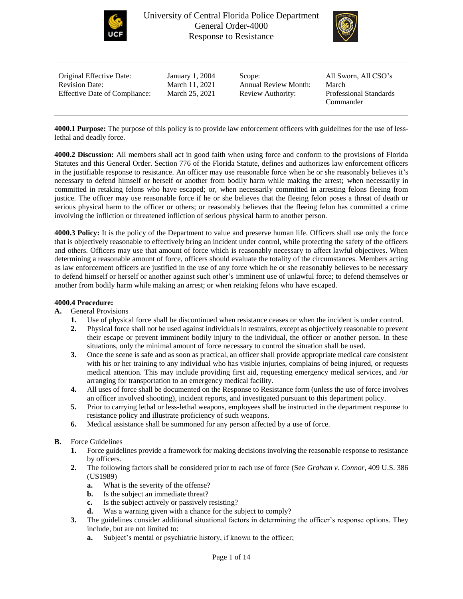



| Original Effective Date:             | January 1, 2004 | Scope:                      | All Sworn, All CSO's          |
|--------------------------------------|-----------------|-----------------------------|-------------------------------|
| <b>Revision Date:</b>                | March 11, 2021  | <b>Annual Review Month:</b> | March                         |
| <b>Effective Date of Compliance:</b> | March 25, 2021  | Review Authority:           | <b>Professional Standards</b> |
|                                      |                 |                             | Commander                     |

**4000.1 Purpose:** The purpose of this policy is to provide law enforcement officers with guidelines for the use of lesslethal and deadly force.

**4000.2 Discussion:** All members shall act in good faith when using force and conform to the provisions of Florida Statutes and this General Order. Section 776 of the Florida Statute, defines and authorizes law enforcement officers in the justifiable response to resistance. An officer may use reasonable force when he or she reasonably believes it's necessary to defend himself or herself or another from bodily harm while making the arrest; when necessarily in committed in retaking felons who have escaped; or, when necessarily committed in arresting felons fleeing from justice. The officer may use reasonable force if he or she believes that the fleeing felon poses a threat of death or serious physical harm to the officer or others; or reasonably believes that the fleeing felon has committed a crime involving the infliction or threatened infliction of serious physical harm to another person.

**4000.3 Policy:** It is the policy of the Department to value and preserve human life. Officers shall use only the force that is objectively reasonable to effectively bring an incident under control, while protecting the safety of the officers and others. Officers may use that amount of force which is reasonably necessary to affect lawful objectives. When determining a reasonable amount of force, officers should evaluate the totality of the circumstances. Members acting as law enforcement officers are justified in the use of any force which he or she reasonably believes to be necessary to defend himself or herself or another against such other's imminent use of unlawful force; to defend themselves or another from bodily harm while making an arrest; or when retaking felons who have escaped.

### **4000.4 Procedure:**

## **A.** General Provisions

- **1.** Use of physical force shall be discontinued when resistance ceases or when the incident is under control.
- **2.** Physical force shall not be used against individuals in restraints, except as objectively reasonable to prevent their escape or prevent imminent bodily injury to the individual, the officer or another person. In these situations, only the minimal amount of force necessary to control the situation shall be used.
- **3.** Once the scene is safe and as soon as practical, an officer shall provide appropriate medical care consistent with his or her training to any individual who has visible injuries, complains of being injured, or requests medical attention. This may include providing first aid, requesting emergency medical services, and /or arranging for transportation to an emergency medical facility.
- **4.** All uses of force shall be documented on the Response to Resistance form (unless the use of force involves an officer involved shooting), incident reports, and investigated pursuant to this department policy.
- **5.** Prior to carrying lethal or less-lethal weapons, employees shall be instructed in the department response to resistance policy and illustrate proficiency of such weapons.
- **6.** Medical assistance shall be summoned for any person affected by a use of force.

## **B.** Force Guidelines

- **1.** Force guidelines provide a framework for making decisions involving the reasonable response to resistance by officers.
- **2.** The following factors shall be considered prior to each use of force (See *Graham v. Connor*, 409 U.S. 386 (US1989)
	- **a.** What is the severity of the offense?
	- **b.** Is the subject an immediate threat?
	- **c.** Is the subject actively or passively resisting?
	- **d.** Was a warning given with a chance for the subject to comply?
- **3.** The guidelines consider additional situational factors in determining the officer's response options. They include, but are not limited to:
	- **a.** Subject's mental or psychiatric history, if known to the officer;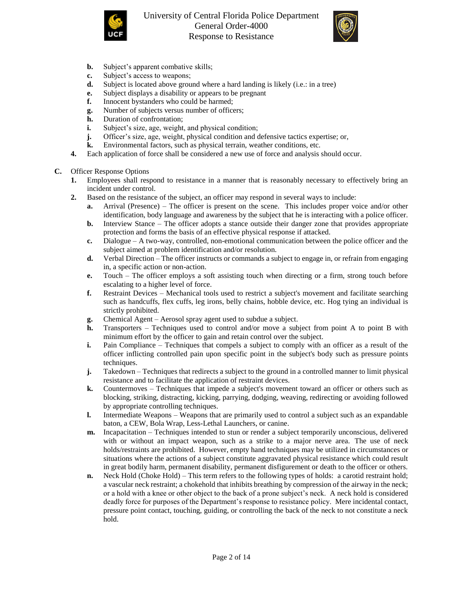



- **b.** Subject's apparent combative skills;
- **c.** Subject's access to weapons;
- **d.** Subject is located above ground where a hard landing is likely (i.e.: in a tree)
- **e.** Subject displays a disability or appears to be pregnant
- **f.** Innocent bystanders who could be harmed;
- **g.** Number of subjects versus number of officers;
- **h.** Duration of confrontation;
- **i.** Subject's size, age, weight, and physical condition;
- **j.** Officer's size, age, weight, physical condition and defensive tactics expertise; or,
- **k.** Environmental factors, such as physical terrain, weather conditions, etc.
- **4.** Each application of force shall be considered a new use of force and analysis should occur.

## **C.** Officer Response Options

- **1.** Employees shall respond to resistance in a manner that is reasonably necessary to effectively bring an incident under control.
- **2.** Based on the resistance of the subject, an officer may respond in several ways to include:
	- **a.** Arrival (Presence) The officer is present on the scene. This includes proper voice and/or other identification, body language and awareness by the subject that he is interacting with a police officer.
	- **b.** Interview Stance The officer adopts a stance outside their danger zone that provides appropriate protection and forms the basis of an effective physical response if attacked.
	- **c.** Dialogue A two-way, controlled, non-emotional communication between the police officer and the subject aimed at problem identification and/or resolution.
	- **d.** Verbal Direction The officer instructs or commands a subject to engage in, or refrain from engaging in, a specific action or non-action.
	- **e.** Touch The officer employs a soft assisting touch when directing or a firm, strong touch before escalating to a higher level of force.
	- **f.** Restraint Devices Mechanical tools used to restrict a subject's movement and facilitate searching such as handcuffs, flex cuffs, leg irons, belly chains, hobble device, etc. Hog tying an individual is strictly prohibited.
	- **g.** Chemical Agent Aerosol spray agent used to subdue a subject.
	- **h.** Transporters Techniques used to control and/or move a subject from point A to point B with minimum effort by the officer to gain and retain control over the subject.
	- **i.** Pain Compliance Techniques that compels a subject to comply with an officer as a result of the officer inflicting controlled pain upon specific point in the subject's body such as pressure points techniques.
	- **j.** Takedown Techniques that redirects a subject to the ground in a controlled manner to limit physical resistance and to facilitate the application of restraint devices.
	- **k.** Countermoves Techniques that impede a subject's movement toward an officer or others such as blocking, striking, distracting, kicking, parrying, dodging, weaving, redirecting or avoiding followed by appropriate controlling techniques.
	- **l.** Intermediate Weapons Weapons that are primarily used to control a subject such as an expandable baton, a CEW, Bola Wrap, Less-Lethal Launchers, or canine.
	- **m.** Incapacitation Techniques intended to stun or render a subject temporarily unconscious, delivered with or without an impact weapon, such as a strike to a major nerve area. The use of neck holds/restraints are prohibited. However, empty hand techniques may be utilized in circumstances or situations where the actions of a subject constitute aggravated physical resistance which could result in great bodily harm, permanent disability, permanent disfigurement or death to the officer or others.
	- **n.** Neck Hold (Choke Hold) This term refers to the following types of holds: a carotid restraint hold; a vascular neck restraint; a chokehold that inhibits breathing by compression of the airway in the neck; or a hold with a knee or other object to the back of a prone subject's neck. A neck hold is considered deadly force for purposes of the Department's response to resistance policy. Mere incidental contact, pressure point contact, touching, guiding, or controlling the back of the neck to not constitute a neck hold.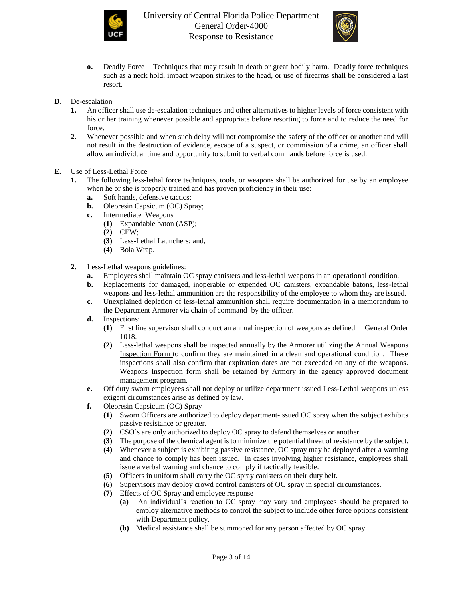



- **o.** Deadly Force Techniques that may result in death or great bodily harm. Deadly force techniques such as a neck hold, impact weapon strikes to the head, or use of firearms shall be considered a last resort.
- **D.** De-escalation
	- **1.** An officer shall use de-escalation techniques and other alternatives to higher levels of force consistent with his or her training whenever possible and appropriate before resorting to force and to reduce the need for force.
	- **2.** Whenever possible and when such delay will not compromise the safety of the officer or another and will not result in the destruction of evidence, escape of a suspect, or commission of a crime, an officer shall allow an individual time and opportunity to submit to verbal commands before force is used.
- **E.** Use of Less-Lethal Force
	- **1.** The following less-lethal force techniques, tools, or weapons shall be authorized for use by an employee when he or she is properly trained and has proven proficiency in their use:
		- **a.** Soft hands, defensive tactics;
		- **b.** Oleoresin Capsicum (OC) Spray;
		- **c.** Intermediate Weapons
			- **(1)** Expandable baton (ASP);
			- **(2)** CEW;
			- **(3)** Less-Lethal Launchers; and,
			- **(4)** Bola Wrap.
	- **2.** Less-Lethal weapons guidelines:
		- **a.** Employees shall maintain OC spray canisters and less-lethal weapons in an operational condition.
		- **b.** Replacements for damaged, inoperable or expended OC canisters, expandable batons, less-lethal weapons and less-lethal ammunition are the responsibility of the employee to whom they are issued.
		- **c.** Unexplained depletion of less-lethal ammunition shall require documentation in a memorandum to the Department Armorer via chain of command by the officer.
		- **d.** Inspections:
			- **(1)** First line supervisor shall conduct an annual inspection of weapons as defined in General Order 1018.
			- **(2)** Less-lethal weapons shall be inspected annually by the Armorer utilizing the [Annual Weapons](http://intranet/Forms/Forms/Annual%20Weapons%20Inspection%20Form.pdf)  [Inspection Form](http://intranet/Forms/Forms/Annual%20Weapons%20Inspection%20Form.pdf) to confirm they are maintained in a clean and operational condition. These inspections shall also confirm that expiration dates are not exceeded on any of the weapons. Weapons Inspection form shall be retained by Armory in the agency approved document management program.
		- **e.** Off duty sworn employees shall not deploy or utilize department issued Less-Lethal weapons unless exigent circumstances arise as defined by law.
		- **f.** Oleoresin Capsicum (OC) Spray
			- **(1)** Sworn Officers are authorized to deploy department-issued OC spray when the subject exhibits passive resistance or greater.
			- **(2)** CSO's are only authorized to deploy OC spray to defend themselves or another.
			- **(3)** The purpose of the chemical agent is to minimize the potential threat of resistance by the subject.
			- **(4)** Whenever a subject is exhibiting passive resistance, OC spray may be deployed after a warning and chance to comply has been issued. In cases involving higher resistance, employees shall issue a verbal warning and chance to comply if tactically feasible.
			- **(5)** Officers in uniform shall carry the OC spray canisters on their duty belt.
			- **(6)** Supervisors may deploy crowd control canisters of OC spray in special circumstances.
			- **(7)** Effects of OC Spray and employee response
				- **(a)** An individual's reaction to OC spray may vary and employees should be prepared to employ alternative methods to control the subject to include other force options consistent with Department policy.
				- **(b)** Medical assistance shall be summoned for any person affected by OC spray.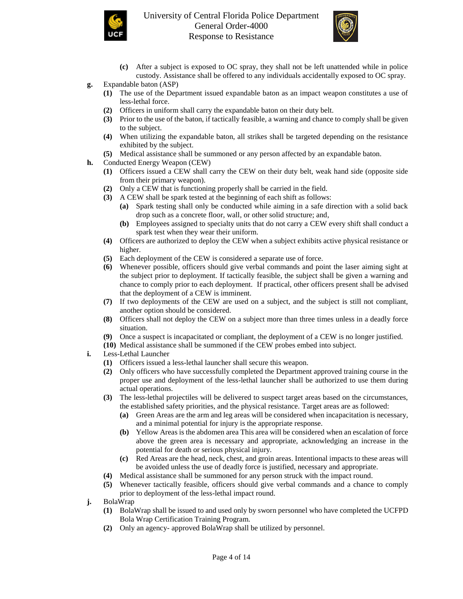



- **(c)** After a subject is exposed to OC spray, they shall not be left unattended while in police custody. Assistance shall be offered to any individuals accidentally exposed to OC spray.
- **g.** Expandable baton (ASP)
	- **(1)** The use of the Department issued expandable baton as an impact weapon constitutes a use of less-lethal force.
	- **(2)** Officers in uniform shall carry the expandable baton on their duty belt.
	- **(3)** Prior to the use of the baton, if tactically feasible, a warning and chance to comply shall be given to the subject.
	- **(4)** When utilizing the expandable baton, all strikes shall be targeted depending on the resistance exhibited by the subject.
	- **(5)** Medical assistance shall be summoned or any person affected by an expandable baton.
- **h.** Conducted Energy Weapon (CEW)
	- **(1)** Officers issued a CEW shall carry the CEW on their duty belt, weak hand side (opposite side from their primary weapon).
	- **(2)** Only a CEW that is functioning properly shall be carried in the field.
	- **(3)** A CEW shall be spark tested at the beginning of each shift as follows:
		- **(a)** Spark testing shall only be conducted while aiming in a safe direction with a solid back drop such as a concrete floor, wall, or other solid structure; and,
		- **(b)** Employees assigned to specialty units that do not carry a CEW every shift shall conduct a spark test when they wear their uniform.
	- **(4)** Officers are authorized to deploy the CEW when a subject exhibits active physical resistance or higher.
	- **(5)** Each deployment of the CEW is considered a separate use of force.
	- **(6)** Whenever possible, officers should give verbal commands and point the laser aiming sight at the subject prior to deployment. If tactically feasible, the subject shall be given a warning and chance to comply prior to each deployment. If practical, other officers present shall be advised that the deployment of a CEW is imminent.
	- **(7)** If two deployments of the CEW are used on a subject, and the subject is still not compliant, another option should be considered.
	- **(8)** Officers shall not deploy the CEW on a subject more than three times unless in a deadly force situation.
	- **(9)** Once a suspect is incapacitated or compliant, the deployment of a CEW is no longer justified.
	- **(10)** Medical assistance shall be summoned if the CEW probes embed into subject.
- **i.** Less-Lethal Launcher
	- **(1)** Officers issued a less-lethal launcher shall secure this weapon.
	- **(2)** Only officers who have successfully completed the Department approved training course in the proper use and deployment of the less-lethal launcher shall be authorized to use them during actual operations.
	- **(3)** The less-lethal projectiles will be delivered to suspect target areas based on the circumstances, the established safety priorities, and the physical resistance. Target areas are as followed:
		- **(a)** Green Areas are the arm and leg areas will be considered when incapacitation is necessary, and a minimal potential for injury is the appropriate response.
		- **(b)** Yellow Areas is the abdomen area This area will be considered when an escalation of force above the green area is necessary and appropriate, acknowledging an increase in the potential for death or serious physical injury.
		- **(c)** Red Areas are the head, neck, chest, and groin areas. Intentional impacts to these areas will be avoided unless the use of deadly force is justified, necessary and appropriate.
	- **(4)** Medical assistance shall be summoned for any person struck with the impact round.
	- **(5)** Whenever tactically feasible, officers should give verbal commands and a chance to comply prior to deployment of the less-lethal impact round.
- **j.** BolaWrap
	- **(1)** BolaWrap shall be issued to and used only by sworn personnel who have completed the UCFPD Bola Wrap Certification Training Program.
	- **(2)** Only an agency- approved BolaWrap shall be utilized by personnel.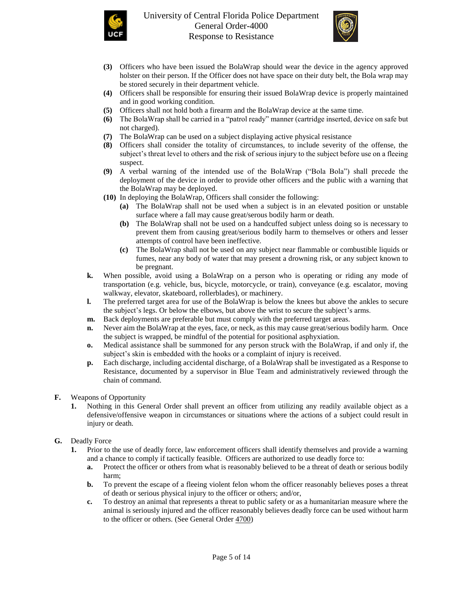



- **(3)** Officers who have been issued the BolaWrap should wear the device in the agency approved holster on their person. If the Officer does not have space on their duty belt, the Bola wrap may be stored securely in their department vehicle.
- **(4)** Officers shall be responsible for ensuring their issued BolaWrap device is properly maintained and in good working condition.
- **(5)** Officers shall not hold both a firearm and the BolaWrap device at the same time.
- **(6)** The BolaWrap shall be carried in a "patrol ready" manner (cartridge inserted, device on safe but not charged).
- **(7)** The BolaWrap can be used on a subject displaying active physical resistance
- **(8)** Officers shall consider the totality of circumstances, to include severity of the offense, the subject's threat level to others and the risk of serious injury to the subject before use on a fleeing suspect.
- **(9)** A verbal warning of the intended use of the BolaWrap ("Bola Bola") shall precede the deployment of the device in order to provide other officers and the public with a warning that the BolaWrap may be deployed.
- **(10)** In deploying the BolaWrap, Officers shall consider the following:
	- **(a)** The BolaWrap shall not be used when a subject is in an elevated position or unstable surface where a fall may cause great/serous bodily harm or death.
	- **(b)** The BolaWrap shall not be used on a handcuffed subject unless doing so is necessary to prevent them from causing great/serious bodily harm to themselves or others and lesser attempts of control have been ineffective.
	- **(c)** The BolaWrap shall not be used on any subject near flammable or combustible liquids or fumes, near any body of water that may present a drowning risk, or any subject known to be pregnant.
- **k.** When possible, avoid using a BolaWrap on a person who is operating or riding any mode of transportation (e.g. vehicle, bus, bicycle, motorcycle, or train), conveyance (e.g. escalator, moving walkway, elevator, skateboard, rollerblades), or machinery.
- **l.** The preferred target area for use of the BolaWrap is below the knees but above the ankles to secure the subject's legs. Or below the elbows, but above the wrist to secure the subject's arms.
- **m.** Back deployments are preferable but must comply with the preferred target areas.
- **n.** Never aim the BolaWrap at the eyes, face, or neck, as this may cause great/serious bodily harm. Once the subject is wrapped, be mindful of the potential for positional asphyxiation.
- **o.** Medical assistance shall be summoned for any person struck with the BolaWrap, if and only if, the subject's skin is embedded with the hooks or a complaint of injury is received.
- **p.** Each discharge, including accidental discharge, of a BolaWrap shall be investigated as a Response to Resistance, documented by a supervisor in Blue Team and administratively reviewed through the chain of command.
- **F.** Weapons of Opportunity
	- **1.** Nothing in this General Order shall prevent an officer from utilizing any readily available object as a defensive/offensive weapon in circumstances or situations where the actions of a subject could result in injury or death.
- **G.** Deadly Force
	- **1.** Prior to the use of deadly force, law enforcement officers shall identify themselves and provide a warning and a chance to comply if tactically feasible. Officers are authorized to use deadly force to:
		- **a.** Protect the officer or others from what is reasonably believed to be a threat of death or serious bodily harm;
		- **b.** To prevent the escape of a fleeing violent felon whom the officer reasonably believes poses a threat of death or serious physical injury to the officer or others; and/or,
		- **c.** To destroy an animal that represents a threat to public safety or as a humanitarian measure where the animal is seriously injured and the officer reasonably believes deadly force can be used without harm to the officer or others. (See General Order [4700\)](https://powerdms.com/link/IDS/document/?id=39900)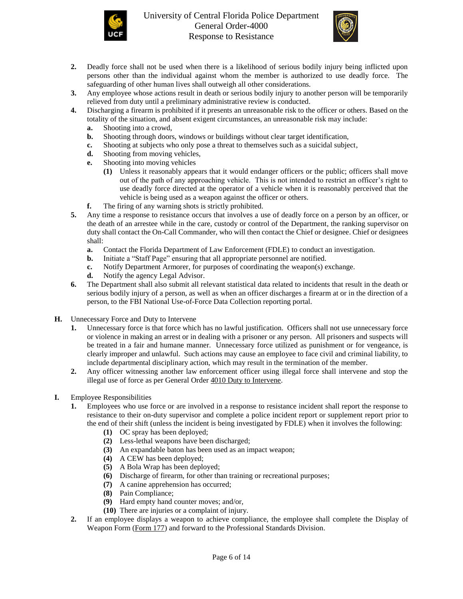



- **2.** Deadly force shall not be used when there is a likelihood of serious bodily injury being inflicted upon persons other than the individual against whom the member is authorized to use deadly force. The safeguarding of other human lives shall outweigh all other considerations.
- **3.** Any employee whose actions result in death or serious bodily injury to another person will be temporarily relieved from duty until a preliminary administrative review is conducted.
- **4.** Discharging a firearm is prohibited if it presents an unreasonable risk to the officer or others. Based on the totality of the situation, and absent exigent circumstances, an unreasonable risk may include:
	- **a.** Shooting into a crowd,
	- **b.** Shooting through doors, windows or buildings without clear target identification,
	- **c.** Shooting at subjects who only pose a threat to themselves such as a suicidal subject,
	- **d.** Shooting from moving vehicles,
	- **e.** Shooting into moving vehicles
		- **(1)** Unless it reasonably appears that it would endanger officers or the public; officers shall move out of the path of any approaching vehicle. This is not intended to restrict an officer's right to use deadly force directed at the operator of a vehicle when it is reasonably perceived that the vehicle is being used as a weapon against the officer or others.
	- **f.** The firing of any warning shots is strictly prohibited.
- **5.** Any time a response to resistance occurs that involves a use of deadly force on a person by an officer, or the death of an arrestee while in the care, custody or control of the Department, the ranking supervisor on duty shall contact the On-Call Commander, who will then contact the Chief or designee. Chief or designees shall:
	- **a.** Contact the Florida Department of Law Enforcement (FDLE) to conduct an investigation.
	- **b.** Initiate a "Staff Page" ensuring that all appropriate personnel are notified.
	- **c.** Notify Department Armorer, for purposes of coordinating the weapon(s) exchange.
	- **d.** Notify the agency Legal Advisor.
- **6.** The Department shall also submit all relevant statistical data related to incidents that result in the death or serious bodily injury of a person, as well as when an officer discharges a firearm at or in the direction of a person, to the FBI National Use-of-Force Data Collection reporting portal.
- **H.** Unnecessary Force and Duty to Intervene
	- **1.** Unnecessary force is that force which has no lawful justification. Officers shall not use unnecessary force or violence in making an arrest or in dealing with a prisoner or any person. All prisoners and suspects will be treated in a fair and humane manner. Unnecessary force utilized as punishment or for vengeance, is clearly improper and unlawful. Such actions may cause an employee to face civil and criminal liability, to include departmental disciplinary action, which may result in the termination of the member.
	- **2.** Any officer witnessing another law enforcement officer using illegal force shall intervene and stop the illegal use of force as per General Orde[r 4010 Duty to Intervene.](https://powerdms.com/link/UCFPD/document/?id=2050544)
- **I.** Employee Responsibilities
	- **1.** Employees who use force or are involved in a response to resistance incident shall report the response to resistance to their on-duty supervisor and complete a police incident report or supplement report prior to the end of their shift (unless the incident is being investigated by FDLE) when it involves the following:
		- **(1)** OC spray has been deployed;
		- **(2)** Less-lethal weapons have been discharged;
		- **(3)** An expandable baton has been used as an impact weapon;
		- **(4)** A CEW has been deployed;
		- **(5)** A Bola Wrap has been deployed;
		- **(6)** Discharge of firearm, for other than training or recreational purposes;
		- **(7)** A canine apprehension has occurred;
		- **(8)** Pain Compliance;
		- **(9)** Hard empty hand counter moves; and/or,
		- **(10)** There are injuries or a complaint of injury.
	- **2.** If an employee displays a weapon to achieve compliance, the employee shall complete the Display of Weapon Form [\(Form 177\)](https://powerdms.com/link/UCFPD/document/?id=2050548) and forward to the Professional Standards Division.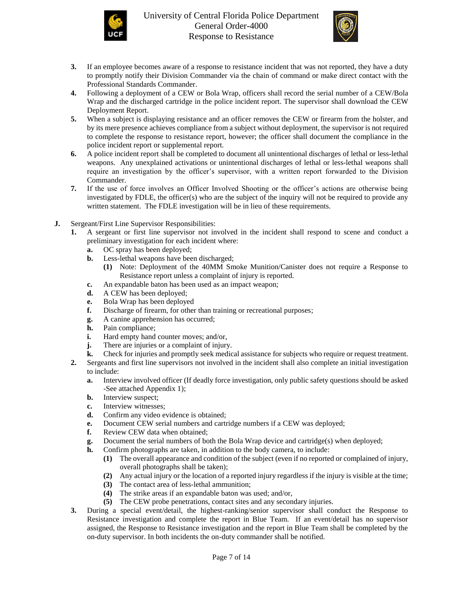



- **3.** If an employee becomes aware of a response to resistance incident that was not reported, they have a duty to promptly notify their Division Commander via the chain of command or make direct contact with the Professional Standards Commander.
- **4.** Following a deployment of a CEW or Bola Wrap, officers shall record the serial number of a CEW/Bola Wrap and the discharged cartridge in the police incident report. The supervisor shall download the CEW Deployment Report.
- **5.** When a subject is displaying resistance and an officer removes the CEW or firearm from the holster, and by its mere presence achieves compliance from a subject without deployment, the supervisor is not required to complete the response to resistance report, however; the officer shall document the compliance in the police incident report or supplemental report.
- **6.** A police incident report shall be completed to document all unintentional discharges of lethal or less-lethal weapons. Any unexplained activations or unintentional discharges of lethal or less-lethal weapons shall require an investigation by the officer's supervisor, with a written report forwarded to the Division Commander.
- **7.** If the use of force involves an Officer Involved Shooting or the officer's actions are otherwise being investigated by FDLE, the officer(s) who are the subject of the inquiry will not be required to provide any written statement. The FDLE investigation will be in lieu of these requirements.
- **J.** Sergeant/First Line Supervisor Responsibilities:
	- **1.** A sergeant or first line supervisor not involved in the incident shall respond to scene and conduct a preliminary investigation for each incident where:
		- **a.** OC spray has been deployed;
		- **b.** Less-lethal weapons have been discharged;
			- **(1)** Note: Deployment of the 40MM Smoke Munition/Canister does not require a Response to Resistance report unless a complaint of injury is reported.
		- **c.** An expandable baton has been used as an impact weapon;
		- **d.** A CEW has been deployed;
		- **e.** Bola Wrap has been deployed
		- **f.** Discharge of firearm, for other than training or recreational purposes;
		- **g.** A canine apprehension has occurred;
		- **h.** Pain compliance;
		- **i.** Hard empty hand counter moves; and/or,
		- **j.** There are injuries or a complaint of injury.
		- **k.** Check for injuries and promptly seek medical assistance for subjects who require or request treatment.
	- **2.** Sergeants and first line supervisors not involved in the incident shall also complete an initial investigation to include:
		- **a.** Interview involved officer (If deadly force investigation, only public safety questions should be asked -See attached Appendix 1);
		- **b.** Interview suspect;
		- **c.** Interview witnesses;
		- **d.** Confirm any video evidence is obtained;
		- **e.** Document CEW serial numbers and cartridge numbers if a CEW was deployed;
		- **f.** Review CEW data when obtained;
		- **g.** Document the serial numbers of both the Bola Wrap device and cartridge(s) when deployed;
		- **h.** Confirm photographs are taken, in addition to the body camera, to include:
			- **(1)** The overall appearance and condition of the subject (even if no reported or complained of injury, overall photographs shall be taken);
			- **(2)** Any actual injury or the location of a reported injury regardless if the injury is visible at the time;
			- **(3)** The contact area of less-lethal ammunition;
			- **(4)** The strike areas if an expandable baton was used; and/or,
			- **(5)** The CEW probe penetrations, contact sites and any secondary injuries.
	- **3.** During a special event/detail, the highest-ranking/senior supervisor shall conduct the Response to Resistance investigation and complete the report in Blue Team. If an event/detail has no supervisor assigned, the Response to Resistance investigation and the report in Blue Team shall be completed by the on-duty supervisor. In both incidents the on-duty commander shall be notified.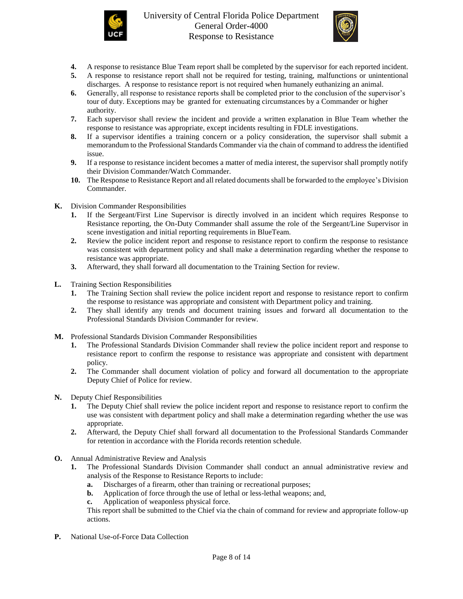



- **4.** A response to resistance Blue Team report shall be completed by the supervisor for each reported incident.
- **5.** A response to resistance report shall not be required for testing, training, malfunctions or unintentional discharges. A response to resistance report is not required when humanely euthanizing an animal.
- **6.** Generally, all response to resistance reports shall be completed prior to the conclusion of the supervisor's tour of duty. Exceptions may be granted for extenuating circumstances by a Commander or higher authority.
- **7.** Each supervisor shall review the incident and provide a written explanation in Blue Team whether the response to resistance was appropriate, except incidents resulting in FDLE investigations.
- **8.** If a supervisor identifies a training concern or a policy consideration, the supervisor shall submit a memorandum to the Professional Standards Commander via the chain of command to address the identified issue.
- **9.** If a response to resistance incident becomes a matter of media interest, the supervisor shall promptly notify their Division Commander/Watch Commander.
- **10.** The Response to Resistance Report and all related documents shall be forwarded to the employee's Division Commander.
- **K.** Division Commander Responsibilities
	- **1.** If the Sergeant/First Line Supervisor is directly involved in an incident which requires Response to Resistance reporting, the On-Duty Commander shall assume the role of the Sergeant/Line Supervisor in scene investigation and initial reporting requirements in BlueTeam.
	- **2.** Review the police incident report and response to resistance report to confirm the response to resistance was consistent with department policy and shall make a determination regarding whether the response to resistance was appropriate.
	- **3.** Afterward, they shall forward all documentation to the Training Section for review.
- **L.** Training Section Responsibilities
	- **1.** The Training Section shall review the police incident report and response to resistance report to confirm the response to resistance was appropriate and consistent with Department policy and training.
	- **2.** They shall identify any trends and document training issues and forward all documentation to the Professional Standards Division Commander for review.
- **M.** Professional Standards Division Commander Responsibilities
	- **1.** The Professional Standards Division Commander shall review the police incident report and response to resistance report to confirm the response to resistance was appropriate and consistent with department policy.
	- **2.** The Commander shall document violation of policy and forward all documentation to the appropriate Deputy Chief of Police for review.
- **N.** Deputy Chief Responsibilities
	- **1.** The Deputy Chief shall review the police incident report and response to resistance report to confirm the use was consistent with department policy and shall make a determination regarding whether the use was appropriate.
	- **2.** Afterward, the Deputy Chief shall forward all documentation to the Professional Standards Commander for retention in accordance with the Florida records retention schedule.
- **O.** Annual Administrative Review and Analysis
	- **1.** The Professional Standards Division Commander shall conduct an annual administrative review and analysis of the Response to Resistance Reports to include:
		- **a.** Discharges of a firearm, other than training or recreational purposes;
		- **b.** Application of force through the use of lethal or less-lethal weapons; and,
		- **c.** Application of weaponless physical force.

This report shall be submitted to the Chief via the chain of command for review and appropriate follow-up actions.

**P.** National Use-of-Force Data Collection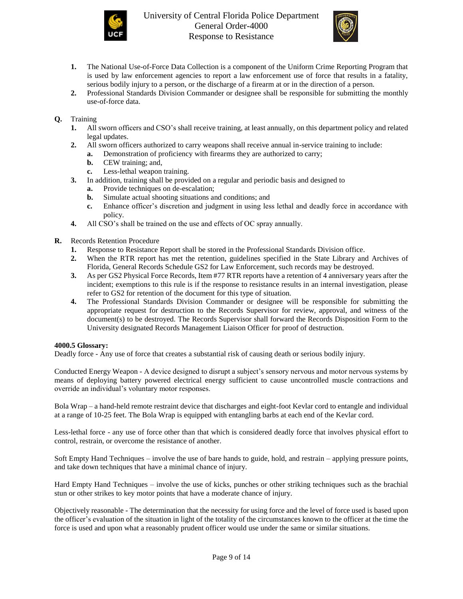



- **1.** The National Use-of-Force Data Collection is a component of the Uniform Crime Reporting Program that is used by law enforcement agencies to report a law enforcement use of force that results in a fatality, serious bodily injury to a person, or the discharge of a firearm at or in the direction of a person.
- **2.** Professional Standards Division Commander or designee shall be responsible for submitting the monthly use-of-force data.

# **Q.** Training

- **1.** All sworn officers and CSO's shall receive training, at least annually, on this department policy and related legal updates.
- **2.** All sworn officers authorized to carry weapons shall receive annual in-service training to include:
	- **a.** Demonstration of proficiency with firearms they are authorized to carry;
	- **b.** CEW training; and,
	- **c.** Less-lethal weapon training.
- **3.** In addition, training shall be provided on a regular and periodic basis and designed to
	- **a.** Provide techniques on de-escalation;
	- **b.** Simulate actual shooting situations and conditions; and
	- **c.** Enhance officer's discretion and judgment in using less lethal and deadly force in accordance with policy.
- **4.** All CSO's shall be trained on the use and effects of OC spray annually.
- **R.** Records Retention Procedure
	- **1.** Response to Resistance Report shall be stored in the Professional Standards Division office.
	- **2.** When the RTR report has met the retention, guidelines specified in the State Library and Archives of Florida, General Records Schedule GS2 for Law Enforcement, such records may be destroyed.
	- **3.** As per GS2 Physical Force Records, Item #77 RTR reports have a retention of 4 anniversary years after the incident; exemptions to this rule is if the response to resistance results in an internal investigation, please refer to GS2 for retention of the document for this type of situation.
	- **4.** The Professional Standards Division Commander or designee will be responsible for submitting the appropriate request for destruction to the Records Supervisor for review, approval, and witness of the document(s) to be destroyed. The Records Supervisor shall forward the Records Disposition Form to the University designated Records Management Liaison Officer for proof of destruction.

## **4000.5 Glossary:**

Deadly force - Any use of force that creates a substantial risk of causing death or serious bodily injury.

Conducted Energy Weapon - A device designed to disrupt a subject's sensory nervous and motor nervous systems by means of deploying battery powered electrical energy sufficient to cause uncontrolled muscle contractions and override an individual's voluntary motor responses.

Bola Wrap – a hand-held remote restraint device that discharges and eight-foot Kevlar cord to entangle and individual at a range of 10-25 feet. The Bola Wrap is equipped with entangling barbs at each end of the Kevlar cord.

Less-lethal force - any use of force other than that which is considered deadly force that involves physical effort to control, restrain, or overcome the resistance of another.

Soft Empty Hand Techniques – involve the use of bare hands to guide, hold, and restrain – applying pressure points, and take down techniques that have a minimal chance of injury.

Hard Empty Hand Techniques – involve the use of kicks, punches or other striking techniques such as the brachial stun or other strikes to key motor points that have a moderate chance of injury.

Objectively reasonable - The determination that the necessity for using force and the level of force used is based upon the officer's evaluation of the situation in light of the totality of the circumstances known to the officer at the time the force is used and upon what a reasonably prudent officer would use under the same or similar situations.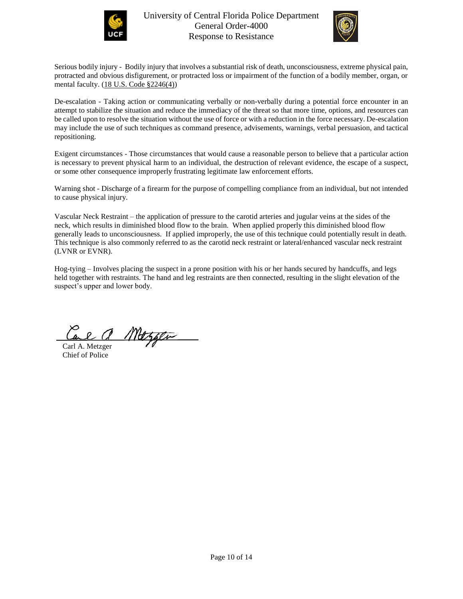



Serious bodily injury - Bodily injury that involves a substantial risk of death, unconsciousness, extreme physical pain, protracted and obvious disfigurement, or protracted loss or impairment of the function of a bodily member, organ, or mental faculty. [\(18 U.S. Code §2246\(4\)\)](https://uscode.house.gov/view.xhtml?path=/prelim@title18/part1/chapter109A&edition=prelim)

De-escalation - Taking action or communicating verbally or non-verbally during a potential force encounter in an attempt to stabilize the situation and reduce the immediacy of the threat so that more time, options, and resources can be called upon to resolve the situation without the use of force or with a reduction in the force necessary. De-escalation may include the use of such techniques as command presence, advisements, warnings, verbal persuasion, and tactical repositioning.

Exigent circumstances - Those circumstances that would cause a reasonable person to believe that a particular action is necessary to prevent physical harm to an individual, the destruction of relevant evidence, the escape of a suspect, or some other consequence improperly frustrating legitimate law enforcement efforts.

Warning shot - Discharge of a firearm for the purpose of compelling compliance from an individual, but not intended to cause physical injury.

Vascular Neck Restraint – the application of pressure to the carotid arteries and jugular veins at the sides of the neck, which results in diminished blood flow to the brain. When applied properly this diminished blood flow generally leads to unconsciousness. If applied improperly, the use of this technique could potentially result in death. This technique is also commonly referred to as the carotid neck restraint or lateral/enhanced vascular neck restraint (LVNR or EVNR).

Hog-tying – Involves placing the suspect in a prone position with his or her hands secured by handcuffs, and legs held together with restraints. The hand and leg restraints are then connected, resulting in the slight elevation of the suspect's upper and lower body.

Mazgen

Carl A. Metzger Chief of Police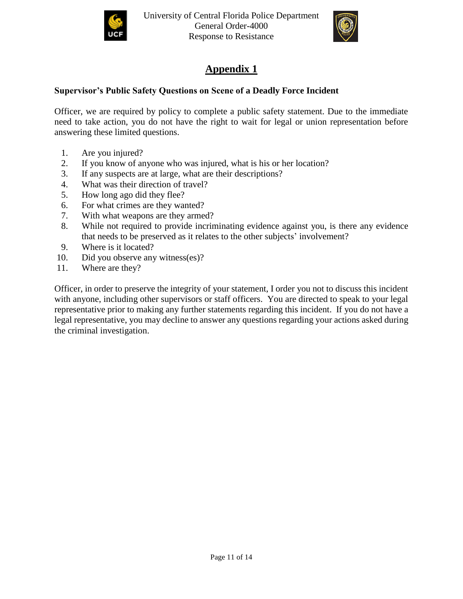



# **Appendix 1**

# **Supervisor's Public Safety Questions on Scene of a Deadly Force Incident**

Officer, we are required by policy to complete a public safety statement. Due to the immediate need to take action, you do not have the right to wait for legal or union representation before answering these limited questions.

- 1. Are you injured?
- 2. If you know of anyone who was injured, what is his or her location?
- 3. If any suspects are at large, what are their descriptions?
- 4. What was their direction of travel?
- 5. How long ago did they flee?
- 6. For what crimes are they wanted?
- 7. With what weapons are they armed?
- 8. While not required to provide incriminating evidence against you, is there any evidence that needs to be preserved as it relates to the other subjects' involvement?
- 9. Where is it located?
- 10. Did you observe any witness(es)?
- 11. Where are they?

Officer, in order to preserve the integrity of your statement, I order you not to discuss this incident with anyone, including other supervisors or staff officers. You are directed to speak to your legal representative prior to making any further statements regarding this incident. If you do not have a legal representative, you may decline to answer any questions regarding your actions asked during the criminal investigation.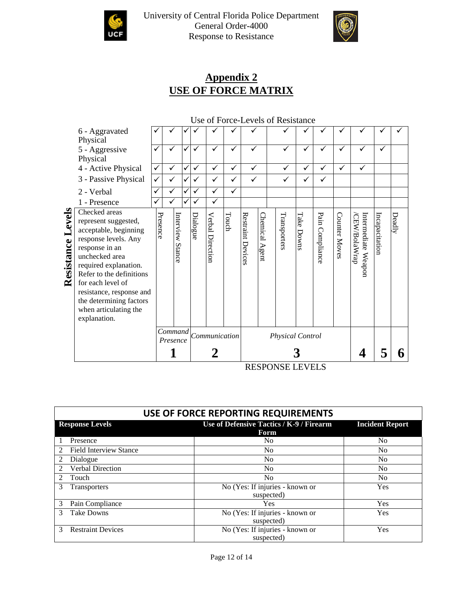



# **Appendix 2 USE OF FORCE MATRIX**

# Use of Force-Levels of Resistance

|                   | 6 - Aggravated<br>Physical                                                                                                                                                                                                                                                                           |                     |                     | ✓ |               |                  |       |                   |                   |              |               |                 |               |                                     |                       |        |
|-------------------|------------------------------------------------------------------------------------------------------------------------------------------------------------------------------------------------------------------------------------------------------------------------------------------------------|---------------------|---------------------|---|---------------|------------------|-------|-------------------|-------------------|--------------|---------------|-----------------|---------------|-------------------------------------|-----------------------|--------|
|                   | 5 - Aggressive<br>Physical                                                                                                                                                                                                                                                                           | ✓                   |                     | ✓ |               |                  | ✓     |                   |                   |              | ✓             |                 | ✓             |                                     | ✓                     |        |
|                   | 4 - Active Physical                                                                                                                                                                                                                                                                                  | ✓                   | ✓                   | ✓ | ✓             | ✓                | ✓     | ✓                 |                   | ✓            | ✓             | ✓               | ✓             | ✓                                   |                       |        |
|                   | 3 - Passive Physical                                                                                                                                                                                                                                                                                 | ✓                   | $\checkmark$        |   |               | ✓                |       | ✓                 |                   | ✓            | ✓             | ✓               |               |                                     |                       |        |
|                   | 2 - Verbal                                                                                                                                                                                                                                                                                           | ✓                   | ✓                   | ✓ | ✓             | ✓                | ✓     |                   |                   |              |               |                 |               |                                     |                       |        |
|                   | 1 - Presence                                                                                                                                                                                                                                                                                         | ✓                   |                     |   |               | ✓                |       |                   |                   |              |               |                 |               |                                     |                       |        |
| Resistance Levels | Checked areas<br>represent suggested,<br>acceptable, beginning<br>response levels. Any<br>response in an<br>unchecked area<br>required explanation.<br>Refer to the definitions<br>for each level of<br>resistance, response and<br>the determining factors<br>when articulating the<br>explanation. | Presence            | Interview<br>Stance |   | Dialogue      | Verbal Direction | Touch | Restraint Devices | Chemical<br>Agent | Transporters | Take<br>Downs | Pain Compliance | Counter Moves | Intermediate Weapor<br>CEW/BolaWrap | <b>Incapacitation</b> | Deadly |
|                   |                                                                                                                                                                                                                                                                                                      | Command<br>Presence |                     |   | Communication |                  |       | Physical Control  |                   |              |               |                 |               |                                     |                       |        |
|                   |                                                                                                                                                                                                                                                                                                      |                     |                     |   |               |                  |       |                   |                   |              |               |                 |               |                                     |                       |        |

RESPONSE LEVELS

| USE OF FORCE REPORTING REQUIREMENTS |                                                  |                        |  |  |  |  |  |
|-------------------------------------|--------------------------------------------------|------------------------|--|--|--|--|--|
| <b>Response Levels</b>              | Use of Defensive Tactics / K-9 / Firearm<br>Form | <b>Incident Report</b> |  |  |  |  |  |
| Presence                            | No.                                              | N <sub>0</sub>         |  |  |  |  |  |
| <b>Field Interview Stance</b>       | N <sub>0</sub>                                   | N <sub>0</sub>         |  |  |  |  |  |
| Dialogue                            | No                                               | N <sub>0</sub>         |  |  |  |  |  |
| Verbal Direction<br>$\mathfrak{D}$  | N <sub>0</sub>                                   | N <sub>0</sub>         |  |  |  |  |  |
| Touch                               | N <sub>0</sub>                                   | N <sub>0</sub>         |  |  |  |  |  |
| 3<br><b>Transporters</b>            | No (Yes: If injuries - known or<br>suspected)    | Yes                    |  |  |  |  |  |
| 3<br>Pain Compliance                | <b>Yes</b>                                       | Yes                    |  |  |  |  |  |
| 3<br><b>Take Downs</b>              | No (Yes: If injuries - known or<br>suspected)    | Yes                    |  |  |  |  |  |
| <b>Restraint Devices</b><br>3       | No (Yes: If injuries - known or<br>suspected)    | Yes                    |  |  |  |  |  |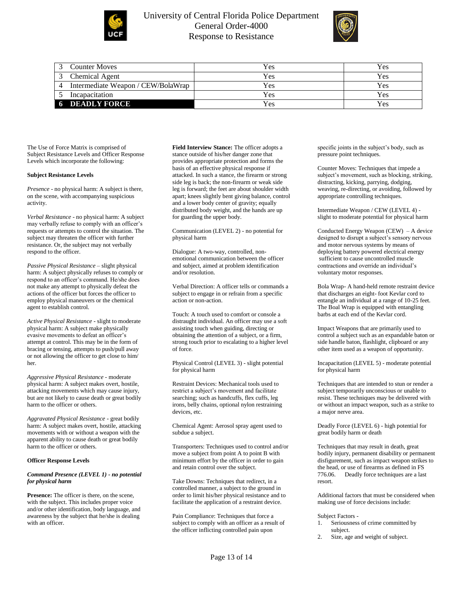

# University of Central Florida Police Department General Order-4000 Response to Resistance



|   | <b>Counter Moves</b>               | Yes | Y es       |
|---|------------------------------------|-----|------------|
|   | Chemical Agent                     | Yes | <b>Yes</b> |
| 4 | Intermediate Weapon / CEW/BolaWrap | Yes | Yes        |
|   | Incapacitation                     | Yes | Yes        |
|   | <b>6 DEADLY FORCE</b>              | Yes | <b>Yes</b> |

The Use of Force Matrix is comprised of Subject Resistance Levels and Officer Response Levels which incorporate the following:

#### **Subject Resistance Levels**

*Presence* - no physical harm: A subject is there, on the scene, with accompanying suspicious activity.

*Verbal Resistance* - no physical harm: A subject may verbally refuse to comply with an officer's requests or attempts to control the situation. The subject may threaten the officer with further resistance. Or, the subject may not verbally respond to the officer.

*Passive Physical Resistance* – slight physical harm: A subject physically refuses to comply or respond to an officer's command. He/she does not make any attempt to physically defeat the actions of the officer but forces the officer to employ physical maneuvers or the chemical agent to establish control.

*Active Physical Resistance* - slight to moderate physical harm: A subject make physically evasive movements to defeat an officer's attempt at control. This may be in the form of bracing or tensing, attempts to push/pull away or not allowing the officer to get close to him/ her.

*Aggressive Physical Resistance* - moderate physical harm: A subject makes overt, hostile, attacking movements which may cause injury, but are not likely to cause death or great bodily harm to the officer or others.

*Aggravated Physical Resistance* - great bodily harm: A subject makes overt, hostile, attacking movements with or without a weapon with the apparent ability to cause death or great bodily harm to the officer or others.

### **Officer Response Levels**

#### *Command Presence (LEVEL 1) - no potential for physical harm*

**Presence:** The officer is there, on the scene, with the subject. This includes proper voice and/or other identification, body language, and awareness by the subject that he/she is dealing with an officer.

**Field Interview Stance:** The officer adopts a stance outside of his/her danger zone that provides appropriate protection and forms the basis of an effective physical response if attacked. In such a stance, the firearm or strong side leg is back; the non-firearm or weak side leg is forward; the feet are about shoulder width apart; knees slightly bent giving balance, control and a lower body center of gravity; equally distributed body weight, and the hands are up for guarding the upper body.

Communication (LEVEL 2) - no potential for physical harm

Dialogue: A two-way, controlled, nonemotional communication between the officer and subject, aimed at problem identification and/or resolution.

Verbal Direction: A officer tells or commands a subject to engage in or refrain from a specific action or non-action.

Touch: A touch used to comfort or console a distraught individual. An officer may use a soft assisting touch when guiding, directing or obtaining the attention of a subject, or a firm, strong touch prior to escalating to a higher level of force.

Physical Control (LEVEL 3) - slight potential for physical harm

Restraint Devices: Mechanical tools used to restrict a subject's movement and facilitate searching; such as handcuffs, flex cuffs, leg irons, belly chains, optional nylon restraining devices, etc.

Chemical Agent: Aerosol spray agent used to subdue a subject.

Transporters: Techniques used to control and/or move a subject from point A to point B with minimum effort by the officer in order to gain and retain control over the subject.

Take Downs: Techniques that redirect, in a controlled manner, a subject to the ground in order to limit his/her physical resistance and to facilitate the application of a restraint device.

Pain Compliance: Techniques that force a subject to comply with an officer as a result of the officer inflicting controlled pain upon

specific joints in the subject's body, such as pressure point techniques.

Counter Moves: Techniques that impede a subject's movement, such as blocking, striking, distracting, kicking, parrying, dodging, weaving, re-directing, or avoiding, followed by appropriate controlling techniques.

Intermediate Weapon / CEW (LEVEL 4) slight to moderate potential for physical harm

Conducted Energy Weapon (CEW) – A device designed to disrupt a subject's sensory nervous and motor nervous systems by means of deploying battery powered electrical energy sufficient to cause uncontrolled muscle contractions and override an individual's voluntary motor responses.

Bola Wrap- A hand-held remote restraint device that discharges an eight- foot Kevlar cord to entangle an individual at a range of 10-25 feet. The Boal Wrap is equipped with entangling barbs at each end of the Kevlar cord.

Impact Weapons that are primarily used to control a subject such as an expandable baton or side handle baton, flashlight, clipboard or any other item used as a weapon of opportunity.

Incapacitation (LEVEL 5) - moderate potential for physical harm

Techniques that are intended to stun or render a subject temporarily unconscious or unable to resist. These techniques may be delivered with or without an impact weapon, such as a strike to a major nerve area.

Deadly Force (LEVEL 6) - high potential for great bodily harm or death

Techniques that may result in death, great bodily injury, permanent disability or permanent disfigurement, such as impact weapon strikes to the head, or use of firearms as defined in FS 776.06. Deadly force techniques are a last resort.

Additional factors that must be considered when making use of force decisions include:

Subject Factors -

- 1. Seriousness of crime committed by subject.
- 2. Size, age and weight of subject.